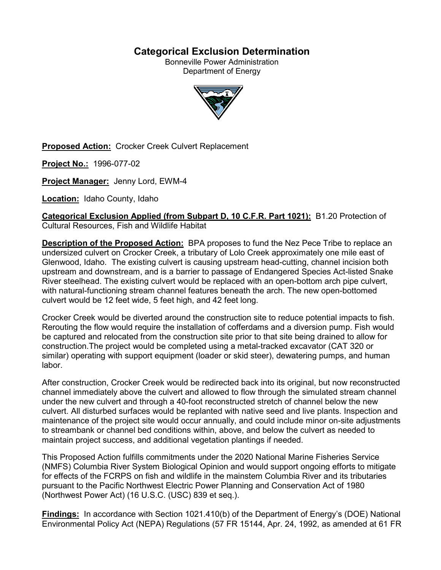# **Categorical Exclusion Determination**

Bonneville Power Administration Department of Energy



**Proposed Action:** Crocker Creek Culvert Replacement

**Project No.:** 1996-077-02

**Project Manager:** Jenny Lord, EWM-4

**Location:** Idaho County, Idaho

**Categorical Exclusion Applied (from Subpart D, 10 C.F.R. Part 1021):** B1.20 Protection of Cultural Resources, Fish and Wildlife Habitat

**Description of the Proposed Action:** BPA proposes to fund the Nez Pece Tribe to replace an undersized culvert on Crocker Creek, a tributary of Lolo Creek approximately one mile east of Glenwood, Idaho. The existing culvert is causing upstream head-cutting, channel incision both upstream and downstream, and is a barrier to passage of Endangered Species Act-listed Snake River steelhead. The existing culvert would be replaced with an open-bottom arch pipe culvert, with natural-functioning stream channel features beneath the arch. The new open-bottomed culvert would be 12 feet wide, 5 feet high, and 42 feet long.

Crocker Creek would be diverted around the construction site to reduce potential impacts to fish. Rerouting the flow would require the installation of cofferdams and a diversion pump. Fish would be captured and relocated from the construction site prior to that site being drained to allow for construction.The project would be completed using a metal-tracked excavator (CAT 320 or similar) operating with support equipment (loader or skid steer), dewatering pumps, and human labor.

After construction, Crocker Creek would be redirected back into its original, but now reconstructed channel immediately above the culvert and allowed to flow through the simulated stream channel under the new culvert and through a 40-foot reconstructed stretch of channel below the new culvert. All disturbed surfaces would be replanted with native seed and live plants. Inspection and maintenance of the project site would occur annually, and could include minor on-site adjustments to streambank or channel bed conditions within, above, and below the culvert as needed to maintain project success, and additional vegetation plantings if needed.

This Proposed Action fulfills commitments under the 2020 National Marine Fisheries Service (NMFS) Columbia River System Biological Opinion and would support ongoing efforts to mitigate for effects of the FCRPS on fish and wildlife in the mainstem Columbia River and its tributaries pursuant to the Pacific Northwest Electric Power Planning and Conservation Act of 1980 (Northwest Power Act) (16 U.S.C. (USC) 839 et seq.).

**Findings:** In accordance with Section 1021.410(b) of the Department of Energy's (DOE) National Environmental Policy Act (NEPA) Regulations (57 FR 15144, Apr. 24, 1992, as amended at 61 FR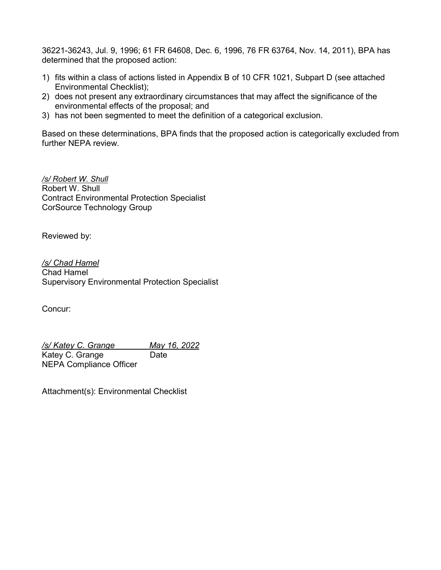36221-36243, Jul. 9, 1996; 61 FR 64608, Dec. 6, 1996, 76 FR 63764, Nov. 14, 2011), BPA has determined that the proposed action:

- 1) fits within a class of actions listed in Appendix B of 10 CFR 1021, Subpart D (see attached Environmental Checklist);
- 2) does not present any extraordinary circumstances that may affect the significance of the environmental effects of the proposal; and
- 3) has not been segmented to meet the definition of a categorical exclusion.

Based on these determinations, BPA finds that the proposed action is categorically excluded from further NEPA review.

*/s/ Robert W. Shull* Robert W. Shull Contract Environmental Protection Specialist CorSource Technology Group

Reviewed by:

*/s/ Chad Hamel* Chad Hamel Supervisory Environmental Protection Specialist

Concur:

*/s/ Katey C. Grange May 16, 2022* Katey C. Grange Date NEPA Compliance Officer

Attachment(s): Environmental Checklist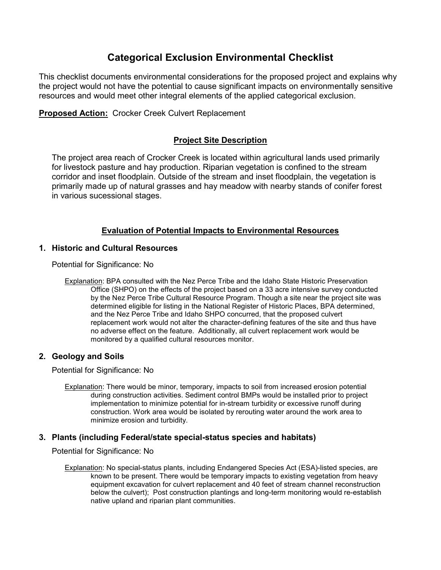# **Categorical Exclusion Environmental Checklist**

This checklist documents environmental considerations for the proposed project and explains why the project would not have the potential to cause significant impacts on environmentally sensitive resources and would meet other integral elements of the applied categorical exclusion.

**Proposed Action:** Crocker Creek Culvert Replacement

## **Project Site Description**

The project area reach of Crocker Creek is located within agricultural lands used primarily for livestock pasture and hay production. Riparian vegetation is confined to the stream corridor and inset floodplain. Outside of the stream and inset floodplain, the vegetation is primarily made up of natural grasses and hay meadow with nearby stands of conifer forest in various sucessional stages.

## **Evaluation of Potential Impacts to Environmental Resources**

## **1. Historic and Cultural Resources**

Potential for Significance: No

Explanation: BPA consulted with the Nez Perce Tribe and the Idaho State Historic Preservation Office (SHPO) on the effects of the project based on a 33 acre intensive survey conducted by the Nez Perce Tribe Cultural Resource Program. Though a site near the project site was determined eligible for listing in the National Register of Historic Places, BPA determined, and the Nez Perce Tribe and Idaho SHPO concurred, that the proposed culvert replacement work would not alter the character-defining features of the site and thus have no adverse effect on the feature. Additionally, all culvert replacement work would be monitored by a qualified cultural resources monitor.

## **2. Geology and Soils**

Potential for Significance: No

Explanation: There would be minor, temporary, impacts to soil from increased erosion potential during construction activities. Sediment control BMPs would be installed prior to project implementation to minimize potential for in-stream turbidity or excessive runoff during construction. Work area would be isolated by rerouting water around the work area to minimize erosion and turbidity.

## **3. Plants (including Federal/state special-status species and habitats)**

Potential for Significance: No

Explanation: No special-status plants, including Endangered Species Act (ESA)-listed species, are known to be present. There would be temporary impacts to existing vegetation from heavy equipment excavation for culvert replacement and 40 feet of stream channel reconstruction below the culvert); Post construction plantings and long-term monitoring would re-establish native upland and riparian plant communities.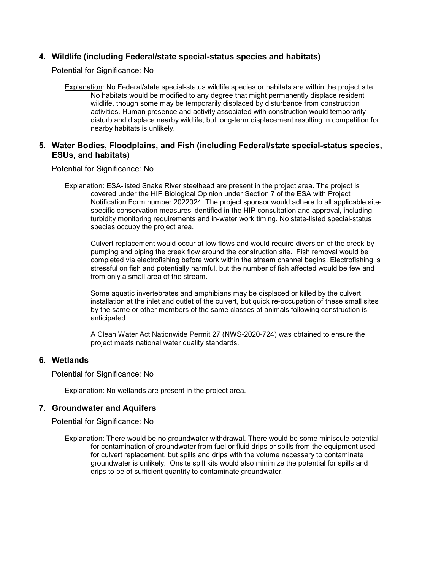## **4. Wildlife (including Federal/state special-status species and habitats)**

Potential for Significance: No

Explanation: No Federal/state special-status wildlife species or habitats are within the project site. No habitats would be modified to any degree that might permanently displace resident wildlife, though some may be temporarily displaced by disturbance from construction activities. Human presence and activity associated with construction would temporarily disturb and displace nearby wildlife, but long-term displacement resulting in competition for nearby habitats is unlikely.

## **5. Water Bodies, Floodplains, and Fish (including Federal/state special-status species, ESUs, and habitats)**

Potential for Significance: No

Explanation: ESA-listed Snake River steelhead are present in the project area. The project is covered under the HIP Biological Opinion under Section 7 of the ESA with Project Notification Form number 2022024. The project sponsor would adhere to all applicable sitespecific conservation measures identified in the HIP consultation and approval, including turbidity monitoring requirements and in-water work timing. No state-listed special-status species occupy the project area.

Culvert replacement would occur at low flows and would require diversion of the creek by pumping and piping the creek flow around the construction site. Fish removal would be completed via electrofishing before work within the stream channel begins. Electrofishing is stressful on fish and potentially harmful, but the number of fish affected would be few and from only a small area of the stream.

Some aquatic invertebrates and amphibians may be displaced or killed by the culvert installation at the inlet and outlet of the culvert, but quick re-occupation of these small sites by the same or other members of the same classes of animals following construction is anticipated.

A Clean Water Act Nationwide Permit 27 (NWS-2020-724) was obtained to ensure the project meets national water quality standards.

#### **6. Wetlands**

Potential for Significance: No

Explanation: No wetlands are present in the project area.

## **7. Groundwater and Aquifers**

Potential for Significance: No

Explanation: There would be no groundwater withdrawal. There would be some miniscule potential for contamination of groundwater from fuel or fluid drips or spills from the equipment used for culvert replacement, but spills and drips with the volume necessary to contaminate groundwater is unlikely. Onsite spill kits would also minimize the potential for spills and drips to be of sufficient quantity to contaminate groundwater.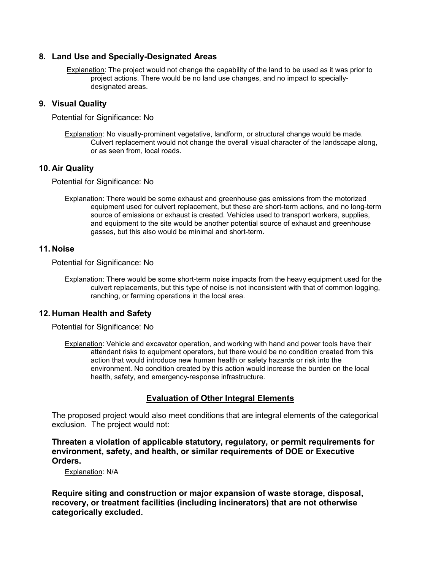## **8. Land Use and Specially-Designated Areas**

Explanation: The project would not change the capability of the land to be used as it was prior to project actions. There would be no land use changes, and no impact to speciallydesignated areas.

## **9. Visual Quality**

Potential for Significance: No

Explanation: No visually-prominent vegetative, landform, or structural change would be made. Culvert replacement would not change the overall visual character of the landscape along, or as seen from, local roads.

#### **10. Air Quality**

Potential for Significance: No

Explanation: There would be some exhaust and greenhouse gas emissions from the motorized equipment used for culvert replacement, but these are short-term actions, and no long-term source of emissions or exhaust is created. Vehicles used to transport workers, supplies, and equipment to the site would be another potential source of exhaust and greenhouse gasses, but this also would be minimal and short-term.

#### **11. Noise**

Potential for Significance: No

Explanation: There would be some short-term noise impacts from the heavy equipment used for the culvert replacements, but this type of noise is not inconsistent with that of common logging, ranching, or farming operations in the local area.

## **12. Human Health and Safety**

Potential for Significance: No

Explanation: Vehicle and excavator operation, and working with hand and power tools have their attendant risks to equipment operators, but there would be no condition created from this action that would introduce new human health or safety hazards or risk into the environment. No condition created by this action would increase the burden on the local health, safety, and emergency-response infrastructure.

## **Evaluation of Other Integral Elements**

The proposed project would also meet conditions that are integral elements of the categorical exclusion. The project would not:

**Threaten a violation of applicable statutory, regulatory, or permit requirements for environment, safety, and health, or similar requirements of DOE or Executive Orders.**

Explanation: N/A

**Require siting and construction or major expansion of waste storage, disposal, recovery, or treatment facilities (including incinerators) that are not otherwise categorically excluded.**